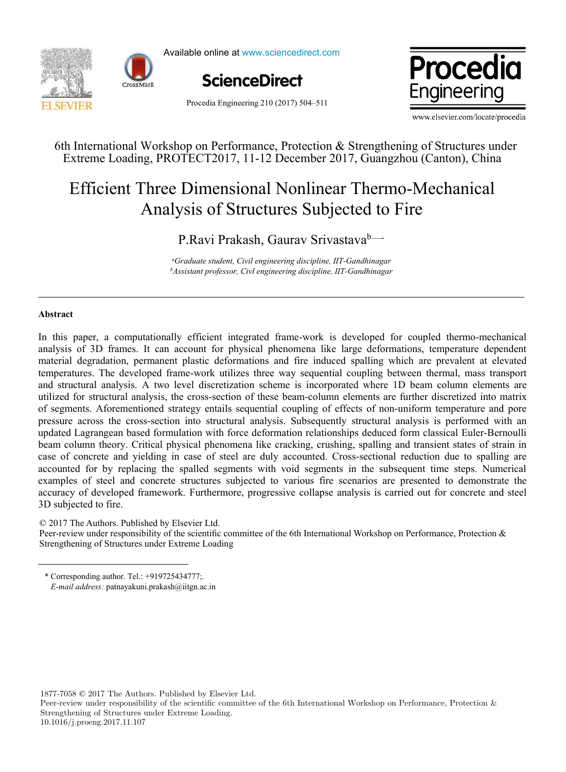





ScienceDirect<br>Procedia Engineering00 (2017) 000–000<br>Available online at www.sciencedirect.com

Available online at www.sciencedirect.com<br>SCIENCEDILECt



Procedia Engineering 210 (2017) 504–511

www.elsevier.com/locate/procedia 6th International Workshop on Performance, Protection & Strengthening of Structures under Extreme Loading, PROTECT2017, 11-12 December 2017, Guangzhou (Canton), China 6th International Workshop on Performance, Protection & Strengthening of Structures under Extreme Loading, PROTECT2017, 11-12 December 2017, Guangzhou (Canton), China Efficient Three Dimensional Nonlinear Thermo-Mechanical Efficient ThranyBismensional Nonsling actuation Mechanical Analysis of Structures Subjected to Fire P.Ravi Prakash, Gaurav Srivastava<sup>b</sup>

> a*Graduate studen***? Kas b<sub>rg</sub> Graut a**n c*ipline, a*p tan ahinagar *<sup>b</sup>Assistant professor, Civl engineering discipline, IIT-Gandhinagar <sup>a</sup>Graduate student, Civil engineering discipline, IIT-Gandhinagar <sup>b</sup>Assistant professor, Civl engineering discipline, IIT-Gandhinagar*

### **Abstract**

#### $\sum_{i=1}^{n}$ **Abstract**

In this paper, a computationally efficient integrated frame-work is developed for coupled thermo-mechanical m this paper, a compatationally critical induced name work is developed for coupled them b menalihed<br>analysis of 3D frames. It can account for physical phenomena like large deformations, temperature dependent material degradation, permanent plastic deformations and fire induced spalling which are prevalent at elevated<br>material degradation, permanent plastic deformations and fire induced spalling which are prevalent at elevated material angliantion, permanent plastic deformations and the matter spaning when are prevaient at clevated temperatures. The developed frame-work utilizes three way sequential coupling between thermal, mass transport and structural analysis. A two level discretization scheme is incorporated where 1D beam column elements are utilized for structural analysis, the cross-section of these beam-column elements are further discretized into matrix of segments. Aforementioned strategy entails sequential coupling of effects of non-uniform temperature and pore pressure across the cross-section into structural analysis. Subsequently structural analysis is performed with an updated Lagrangean based formulation with force deformation relationships deduced form classical Euler-Bernoulli beam column theory. Critical physical phenomena like cracking, crushing, spalling and transient states of strain in case of concrete and yielding in case of steel are duly accounted. Cross-sectional reduction due to spalling are<br>case of concrete and yielding in case of steel are duly accounted. Cross-sectional reduction due to spalling exact of concrete and yielding in case of steel are dary accounted. Cross sectional reduction due to spalling are accounted for by replacing the spalled segments with void segments in the subsequent time steps. Numerical examples of steel and concrete structures subjected to various fire scenarios are presented to demonstrate the examples of secer e<br>000117001 of douglon accuracy of developed framework. Furthermore, progressive collapse analysis is carried out for concrete and steel<br>C<sub>re</sub>quinting Authors. Published by Elsevier Ltd.

For the credit to fire.<br>The subjected to fire<br>Peer-review under responsibility ofthe scientific committee of the 6th International Workshop on Performance, Protection & ™ en Terrew under responsionity onthe setemme control of the Common Control of the Authors. Published by Elisabeth Portling.

Strengthen a of Structures had to Elsevier Load Peer-review under responsibility of the scientific committee of the 6th International Workshop on Performance, Protection & Strengthening of Structures under Extreme Loading Peer-review under responsibility ofthe scientific committee of the 6th International Workshop on Performance, Protection & Strengthening of Structures under Extreme Loading.

\* Corresponding author. Tel.: +919725434777;.

*E-mail address:* patnayakuni.prakash@iitgn.ac.in \* Corresponding author. Tel.: +919725434777;.

1877-7058 © 2017 The Authors. Published by Elsevier Ltd. *E-mail address:* patnayakuni.prakash@iitgn.ac.in

Peer-review under responsibility ofthe scientific committee of the 6th International Workshop on Performance, Protection & Strengthening of Structures under Extreme Loading. 1877-7058 © 2017 The Authors. Published by Elsevier Ltd.

Peer-review under responsibility of the scientific committee of the 6th International Workshop on Performance, Protection & Strengthening of Structures under Extreme Loading.

1877-7058 © 2017 The Authors. Published by Elsevier Ltd.

Peer-review under responsibility of the scientific committee of the 6th International Workshop on Performance, Protection & Strengthening of Structures under Extreme Loading. 10.1016/j.proeng.2017.11.107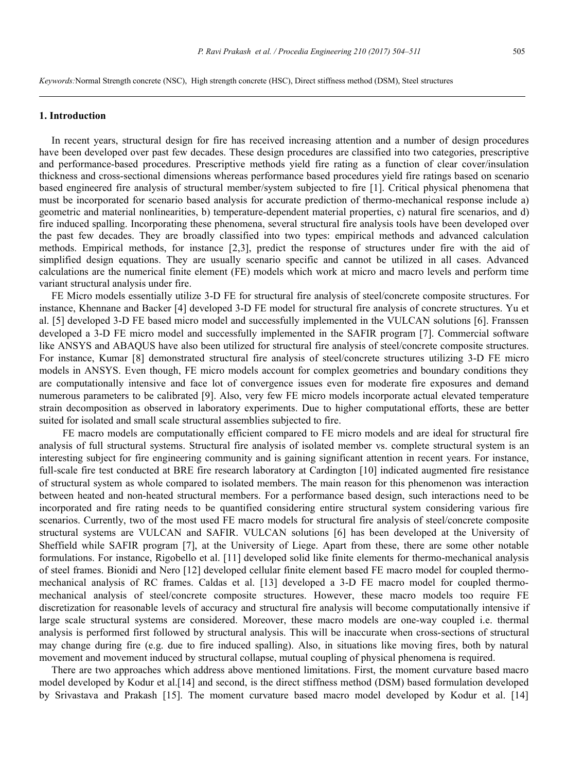*Keywords:*Normal Strength concrete (NSC), High strength concrete (HSC), Direct stiffness method (DSM), Steel structures

### **1. Introduction**

In recent years, structural design for fire has received increasing attention and a number of design procedures have been developed over past few decades. These design procedures are classified into two categories, prescriptive and performance-based procedures. Prescriptive methods yield fire rating as a function of clear cover/insulation thickness and cross-sectional dimensions whereas performance based procedures yield fire ratings based on scenario based engineered fire analysis of structural member/system subjected to fire [1]. Critical physical phenomena that must be incorporated for scenario based analysis for accurate prediction of thermo-mechanical response include a) geometric and material nonlinearities, b) temperature-dependent material properties, c) natural fire scenarios, and d) fire induced spalling. Incorporating these phenomena, several structural fire analysis tools have been developed over the past few decades. They are broadly classified into two types: empirical methods and advanced calculation methods. Empirical methods, for instance [2,3], predict the response of structures under fire with the aid of simplified design equations. They are usually scenario specific and cannot be utilized in all cases. Advanced calculations are the numerical finite element (FE) models which work at micro and macro levels and perform time variant structural analysis under fire.

FE Micro models essentially utilize 3-D FE for structural fire analysis of steel/concrete composite structures. For instance, Khennane and Backer [4] developed 3-D FE model for structural fire analysis of concrete structures. Yu et al. [5] developed 3-D FE based micro model and successfully implemented in the VULCAN solutions [6]. Franssen developed a 3-D FE micro model and successfully implemented in the SAFIR program [7]. Commercial software like ANSYS and ABAQUS have also been utilized for structural fire analysis of steel/concrete composite structures. For instance, Kumar [8] demonstrated structural fire analysis of steel/concrete structures utilizing 3-D FE micro models in ANSYS. Even though, FE micro models account for complex geometries and boundary conditions they are computationally intensive and face lot of convergence issues even for moderate fire exposures and demand numerous parameters to be calibrated [9]. Also, very few FE micro models incorporate actual elevated temperature strain decomposition as observed in laboratory experiments. Due to higher computational efforts, these are better suited for isolated and small scale structural assemblies subjected to fire.

FE macro models are computationally efficient compared to FE micro models and are ideal for structural fire analysis of full structural systems. Structural fire analysis of isolated member vs. complete structural system is an interesting subject for fire engineering community and is gaining significant attention in recent years. For instance, full-scale fire test conducted at BRE fire research laboratory at Cardington [10] indicated augmented fire resistance of structural system as whole compared to isolated members. The main reason for this phenomenon was interaction between heated and non-heated structural members. For a performance based design, such interactions need to be incorporated and fire rating needs to be quantified considering entire structural system considering various fire scenarios. Currently, two of the most used FE macro models for structural fire analysis of steel/concrete composite structural systems are VULCAN and SAFIR. VULCAN solutions [6] has been developed at the University of Sheffield while SAFIR program [7], at the University of Liege. Apart from these, there are some other notable formulations. For instance, Rigobello et al. [11] developed solid like finite elements for thermo-mechanical analysis of steel frames. Bionidi and Nero [12] developed cellular finite element based FE macro model for coupled thermomechanical analysis of RC frames. Caldas et al. [13] developed a 3-D FE macro model for coupled thermomechanical analysis of steel/concrete composite structures. However, these macro models too require FE discretization for reasonable levels of accuracy and structural fire analysis will become computationally intensive if large scale structural systems are considered. Moreover, these macro models are one-way coupled i.e. thermal analysis is performed first followed by structural analysis. This will be inaccurate when cross-sections of structural may change during fire (e.g. due to fire induced spalling). Also, in situations like moving fires, both by natural movement and movement induced by structural collapse, mutual coupling of physical phenomena is required.

There are two approaches which address above mentioned limitations. First, the moment curvature based macro model developed by Kodur et al.[14] and second, is the direct stiffness method (DSM) based formulation developed by Srivastava and Prakash [15]. The moment curvature based macro model developed by Kodur et al. [14]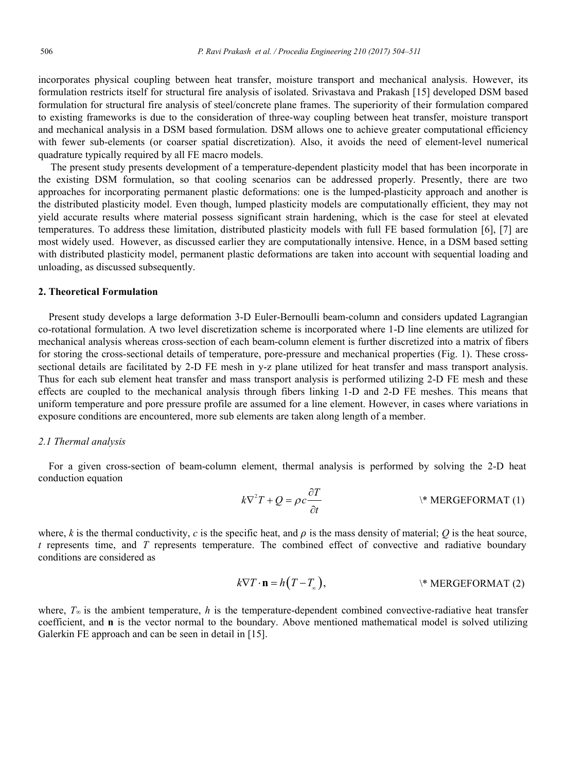incorporates physical coupling between heat transfer, moisture transport and mechanical analysis. However, its formulation restricts itself for structural fire analysis of isolated. Srivastava and Prakash [15] developed DSM based formulation for structural fire analysis of steel/concrete plane frames. The superiority of their formulation compared to existing frameworks is due to the consideration of three-way coupling between heat transfer, moisture transport and mechanical analysis in a DSM based formulation. DSM allows one to achieve greater computational efficiency with fewer sub-elements (or coarser spatial discretization). Also, it avoids the need of element-level numerical quadrature typically required by all FE macro models.

The present study presents development of a temperature-dependent plasticity model that has been incorporate in the existing DSM formulation, so that cooling scenarios can be addressed properly. Presently, there are two approaches for incorporating permanent plastic deformations: one is the lumped-plasticity approach and another is the distributed plasticity model. Even though, lumped plasticity models are computationally efficient, they may not yield accurate results where material possess significant strain hardening, which is the case for steel at elevated temperatures. To address these limitation, distributed plasticity models with full FE based formulation [6], [7] are most widely used. However, as discussed earlier they are computationally intensive. Hence, in a DSM based setting with distributed plasticity model, permanent plastic deformations are taken into account with sequential loading and unloading, as discussed subsequently.

### **2. Theoretical Formulation**

Present study develops a large deformation 3-D Euler-Bernoulli beam-column and considers updated Lagrangian co-rotational formulation. A two level discretization scheme is incorporated where 1-D line elements are utilized for mechanical analysis whereas cross-section of each beam-column element is further discretized into a matrix of fibers for storing the cross-sectional details of temperature, pore-pressure and mechanical properties (Fig. 1). These crosssectional details are facilitated by 2-D FE mesh in y-z plane utilized for heat transfer and mass transport analysis. Thus for each sub element heat transfer and mass transport analysis is performed utilizing 2-D FE mesh and these effects are coupled to the mechanical analysis through fibers linking 1-D and 2-D FE meshes. This means that uniform temperature and pore pressure profile are assumed for a line element. However, in cases where variations in exposure conditions are encountered, more sub elements are taken along length of a member.

#### *2.1 Thermal analysis*

For a given cross-section of beam-column element, thermal analysis is performed by solving the 2-D heat conduction equation

$$
k\nabla^2 T + Q = \rho c \frac{\partial T}{\partial t}
$$
 
$$
\vee^* \text{MERGEFORMAT (1)}
$$

where, *k* is the thermal conductivity, *c* is the specific heat, and  $\rho$  is the mass density of material; *Q* is the heat source, *t* represents time, and *T* represents temperature. The combined effect of convective and radiative boundary conditions are considered as

$$
k\nabla T \cdot \mathbf{n} = h\big(T - T_{\infty}\big), \qquad \qquad \downarrow^* \text{MERGEFORMAT (2)}
$$

where,  $T_{\infty}$  is the ambient temperature, *h* is the temperature-dependent combined convective-radiative heat transfer coefficient, and **n** is the vector normal to the boundary. Above mentioned mathematical model is solved utilizing Galerkin FE approach and can be seen in detail in [15].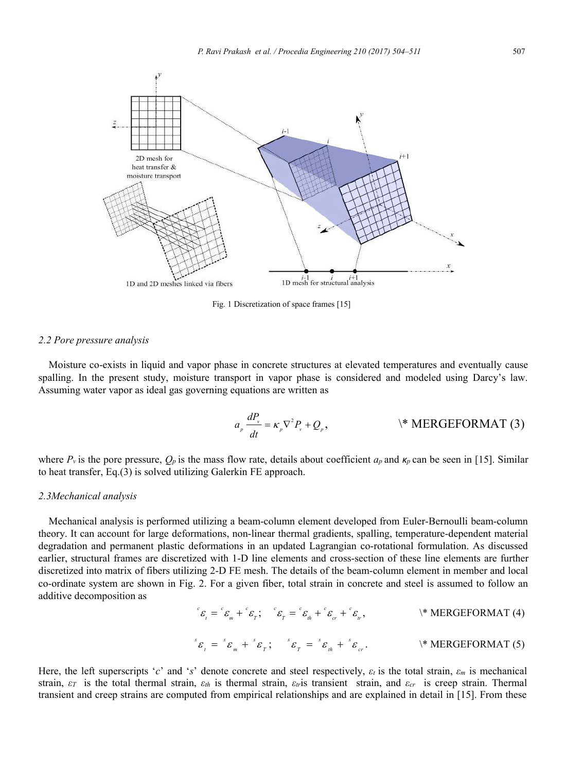

Fig. 1 Discretization of space frames [15]

### *2.2 Pore pressure analysis*

Moisture co-exists in liquid and vapor phase in concrete structures at elevated temperatures and eventually cause spalling. In the present study, moisture transport in vapor phase is considered and modeled using Darcy's law. Assuming water vapor as ideal gas governing equations are written as

$$
a_p \frac{dP_v}{dt} = \kappa_p \nabla^2 P_v + Q_p, \qquad \qquad \backslash^* \text{MERGEFORMAT (3)}
$$

where  $P_\nu$  is the pore pressure,  $Q_\nu$  is the mass flow rate, details about coefficient  $a_\nu$  and  $\kappa_\nu$  can be seen in [15]. Similar to heat transfer, Eq.(3) is solved utilizing Galerkin FE approach.

#### *2.3Mechanical analysis*

Mechanical analysis is performed utilizing a beam-column element developed from Euler-Bernoulli beam-column theory. It can account for large deformations, non-linear thermal gradients, spalling, temperature-dependent material degradation and permanent plastic deformations in an updated Lagrangian co-rotational formulation. As discussed earlier, structural frames are discretized with 1-D line elements and cross-section of these line elements are further discretized into matrix of fibers utilizing 2-D FE mesh. The details of the beam-column element in member and local co-ordinate system are shown in Fig. 2. For a given fiber, total strain in concrete and steel is assumed to follow an additive decomposition as

$$
{}^{c}\varepsilon_{t} = {}^{c}\varepsilon_{m} + {}^{c}\varepsilon_{r}; \quad {}^{c}\varepsilon_{r} = {}^{c}\varepsilon_{m} + {}^{c}\varepsilon_{r} + {}^{c}\varepsilon_{r}, \qquad \qquad \backslash^* \text{MERGEFORMAT (4)}
$$

$$
\varepsilon_{t} = \varepsilon_{m} + \varepsilon_{m}; \quad \varepsilon_{T} = \varepsilon_{m} + \varepsilon_{cr}.
$$

Here, the left superscripts '*c*' and '*s*' denote concrete and steel respectively, *ε<sup>t</sup>* is the total strain, *ε<sup>m</sup>* is mechanical strain, *ε<sup>T</sup>* is the total thermal strain, *εth* is thermal strain, *εtr*is transient strain, and *εcr* is creep strain. Thermal transient and creep strains are computed from empirical relationships and are explained in detail in [15]. From these

*s*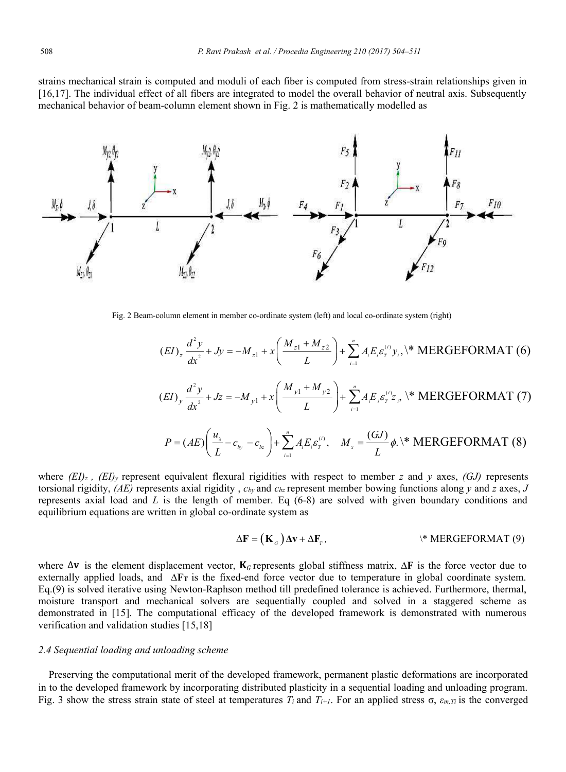strains mechanical strain is computed and moduli of each fiber is computed from stress-strain relationships given in [16,17]. The individual effect of all fibers are integrated to model the overall behavior of neutral axis. Subsequently mechanical behavior of beam-column element shown in Fig. 2 is mathematically modelled as



Fig. 2 Beam-column element in member co-ordinate system (left) and local co-ordinate system (right)

$$
(EI)_z \frac{d^2y}{dx^2} + Jy = -M_{z1} + x \left( \frac{M_{z1} + M_{z2}}{L} \right) + \sum_{i=1}^n A_i E_i \varepsilon_i^{(i)} y_i, \ \forall^* \text{ MERGEFORMAT (6)}
$$
\n
$$
(EI)_y \frac{d^2y}{dx^2} + Jz = -M_{y1} + x \left( \frac{M_{y1} + M_{y2}}{L} \right) + \sum_{i=1}^n A_i E_i \varepsilon_i^{(i)} z_i, \ \forall^* \text{ MERGEFORMAT (7)}
$$
\n
$$
P = (AE) \left( \frac{u_3}{L} - c_{by} - c_{bz} \right) + \sum_{i=1}^n A_i E_i \varepsilon_i^{(i)}, \quad M_x = \frac{(GJ)}{L} \phi, \ \forall^* \text{ MERGEFORMAT (8)}
$$

where  $(EI)_z$ ,  $(EI)_y$  represent equivalent flexural rigidities with respect to member *z* and *y* axes, *(GJ)* represents torsional rigidity,  $AE$ ) represents axial rigidity,  $c_{by}$  and  $c_{bz}$  represent member bowing functions along *y* and *z* axes, *J* represents axial load and *L* is the length of member. Eq (6-8) are solved with given boundary conditions and equilibrium equations are written in global co-ordinate system as

$$
\Delta \mathbf{F} = (\mathbf{K}_c) \Delta \mathbf{v} + \Delta \mathbf{F}_r, \qquad \qquad \backslash^* \text{MERGEFORMAT (9)}
$$

where  $\Delta$ **v** is the element displacement vector,  $\mathbf{K}_G$  represents global stiffness matrix,  $\Delta$ **F** is the force vector due to externally applied loads, and **∆F<sup>T</sup>** is the fixed-end force vector due to temperature in global coordinate system. Eq.(9) is solved iterative using Newton-Raphson method till predefined tolerance is achieved. Furthermore, thermal, moisture transport and mechanical solvers are sequentially coupled and solved in a staggered scheme as demonstrated in [15]. The computational efficacy of the developed framework is demonstrated with numerous verification and validation studies [15,18]

### *2.4 Sequential loading and unloading scheme*

Preserving the computational merit of the developed framework, permanent plastic deformations are incorporated in to the developed framework by incorporating distributed plasticity in a sequential loading and unloading program. Fig. 3 show the stress strain state of steel at temperatures  $T_i$  and  $T_{i+1}$ . For an applied stress  $\sigma$ ,  $\varepsilon_{m,T}$  is the converged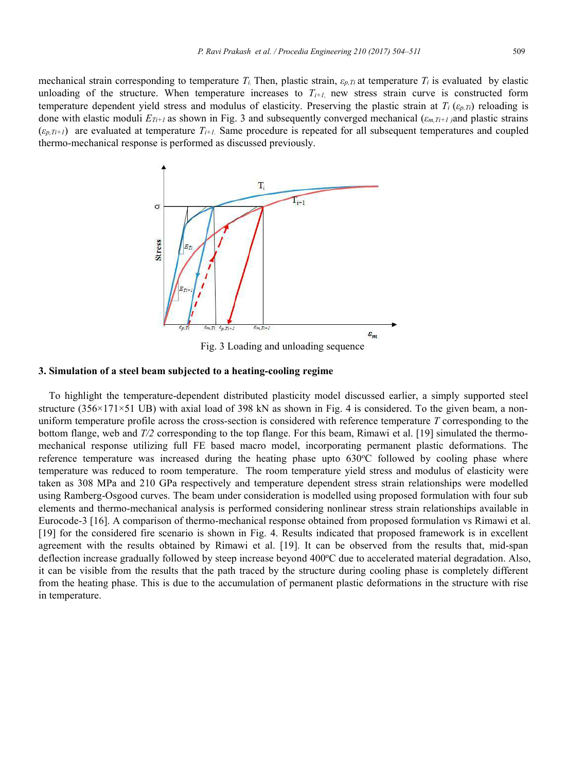mechanical strain corresponding to temperature  $T_i$ . Then, plastic strain,  $\varepsilon_{p,Ti}$  at temperature  $T_i$  is evaluated by elastic unloading of the structure. When temperature increases to  $T_{i+1}$ , new stress strain curve is constructed form temperature dependent yield stress and modulus of elasticity. Preserving the plastic strain at  $T_i(\varepsilon_{p,Ti})$  reloading is done with elastic moduli  $E_{T_i+1}$  as shown in Fig. 3 and subsequently converged mechanical  $(\varepsilon_{m,T_i+1})$  and plastic strains  $(\varepsilon_{p,Ti+1})$  are evaluated at temperature  $T_{i+1}$ . Same procedure is repeated for all subsequent temperatures and coupled thermo-mechanical response is performed as discussed previously.



Fig. 3 Loading and unloading sequence

## **3. Simulation of a steel beam subjected to a heating-cooling regime**

To highlight the temperature-dependent distributed plasticity model discussed earlier, a simply supported steel structure (356×171×51 UB) with axial load of 398 kN as shown in Fig. 4 is considered. To the given beam, a nonuniform temperature profile across the cross-section is considered with reference temperature *T* corresponding to the bottom flange, web and *T/2* corresponding to the top flange. For this beam, Rimawi et al. [19] simulated the thermomechanical response utilizing full FE based macro model, incorporating permanent plastic deformations. The reference temperature was increased during the heating phase upto  $630^{\circ}$ C followed by cooling phase where temperature was reduced to room temperature. The room temperature yield stress and modulus of elasticity were taken as 308 MPa and 210 GPa respectively and temperature dependent stress strain relationships were modelled using Ramberg-Osgood curves. The beam under consideration is modelled using proposed formulation with four sub elements and thermo-mechanical analysis is performed considering nonlinear stress strain relationships available in Eurocode-3 [16]. A comparison of thermo-mechanical response obtained from proposed formulation vs Rimawi et al. [19] for the considered fire scenario is shown in Fig. 4. Results indicated that proposed framework is in excellent agreement with the results obtained by Rimawi et al. [19]. It can be observed from the results that, mid-span deflection increase gradually followed by steep increase beyond  $400^{\circ}$ C due to accelerated material degradation. Also, it can be visible from the results that the path traced by the structure during cooling phase is completely different from the heating phase. This is due to the accumulation of permanent plastic deformations in the structure with rise in temperature.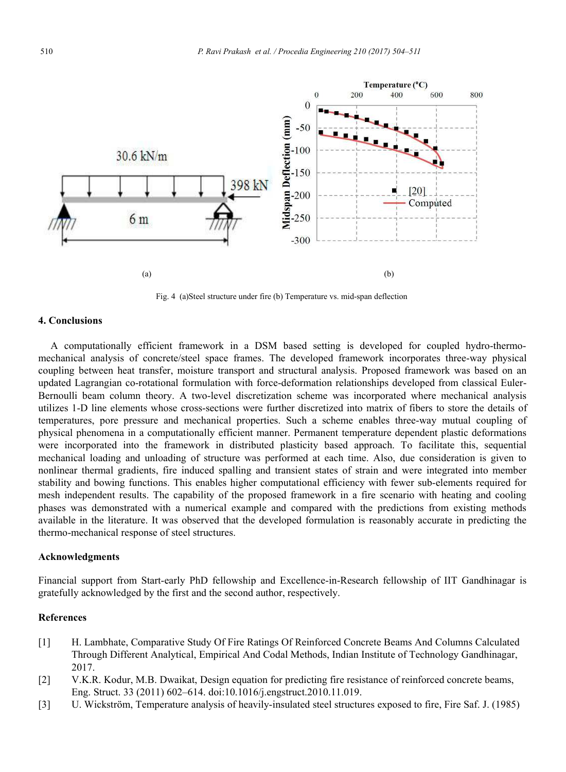

Fig. 4 (a)Steel structure under fire (b) Temperature vs. mid-span deflection

# **4. Conclusions**

A computationally efficient framework in a DSM based setting is developed for coupled hydro-thermomechanical analysis of concrete/steel space frames. The developed framework incorporates three-way physical coupling between heat transfer, moisture transport and structural analysis. Proposed framework was based on an updated Lagrangian co-rotational formulation with force-deformation relationships developed from classical Euler-Bernoulli beam column theory. A two-level discretization scheme was incorporated where mechanical analysis utilizes 1-D line elements whose cross-sections were further discretized into matrix of fibers to store the details of temperatures, pore pressure and mechanical properties. Such a scheme enables three-way mutual coupling of physical phenomena in a computationally efficient manner. Permanent temperature dependent plastic deformations were incorporated into the framework in distributed plasticity based approach. To facilitate this, sequential mechanical loading and unloading of structure was performed at each time. Also, due consideration is given to nonlinear thermal gradients, fire induced spalling and transient states of strain and were integrated into member stability and bowing functions. This enables higher computational efficiency with fewer sub-elements required for mesh independent results. The capability of the proposed framework in a fire scenario with heating and cooling phases was demonstrated with a numerical example and compared with the predictions from existing methods available in the literature. It was observed that the developed formulation is reasonably accurate in predicting the thermo-mechanical response of steel structures.

### **Acknowledgments**

Financial support from Start-early PhD fellowship and Excellence-in-Research fellowship of IIT Gandhinagar is gratefully acknowledged by the first and the second author, respectively.

## **References**

- [1] H. Lambhate, Comparative Study Of Fire Ratings Of Reinforced Concrete Beams And Columns Calculated Through Different Analytical, Empirical And Codal Methods, Indian Institute of Technology Gandhinagar, 2017.
- [2] V.K.R. Kodur, M.B. Dwaikat, Design equation for predicting fire resistance of reinforced concrete beams, Eng. Struct. 33 (2011) 602–614. doi:10.1016/j.engstruct.2010.11.019.
- [3] U. Wickström, Temperature analysis of heavily-insulated steel structures exposed to fire, Fire Saf. J. (1985)